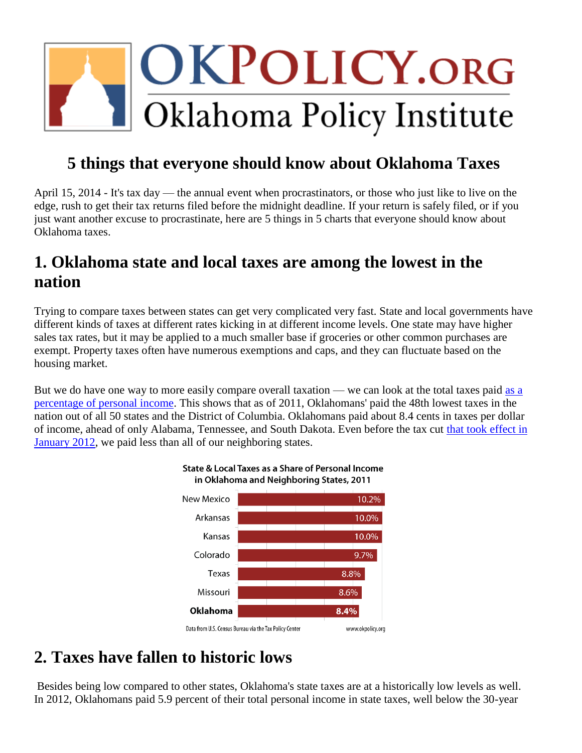# OKPOLICY.ORG Oklahoma Policy Institute

# **5 things that everyone should know about Oklahoma Taxes**

April 15, 2014 - It's tax day — the annual event when procrastinators, or those who just like to live on the edge, rush to get their tax returns filed before the midnight deadline. If your return is safely filed, or if you just want another excuse to procrastinate, here are 5 things in 5 charts that everyone should know about Oklahoma taxes.

# **1. Oklahoma state and local taxes are among the lowest in the nation**

Trying to compare taxes between states can get very complicated very fast. State and local governments have different kinds of taxes at different rates kicking in at different income levels. One state may have higher sales tax rates, but it may be applied to a much smaller base if groceries or other common purchases are exempt. Property taxes often have numerous exemptions and caps, and they can fluctuate based on the housing market.

But we do have one way to more easily compare overall taxation — we can look at the total taxes paid [as a](http://www.taxpolicycenter.org/taxfacts/displayafact.cfm?Docid=511)  [percentage of personal income.](http://www.taxpolicycenter.org/taxfacts/displayafact.cfm?Docid=511) This shows that as of 2011, Oklahomans' paid the 48th lowest taxes in the nation out of all 50 states and the District of Columbia. Oklahomans paid about 8.4 cents in taxes per dollar of income, ahead of only Alabama, Tennessee, and South Dakota. Even before the tax cut [that took effect in](http://okpolicy.org/cutting-the-top-income-tax-rate-who-benefits)  [January 2012,](http://okpolicy.org/cutting-the-top-income-tax-rate-who-benefits) we paid less than all of our neighboring states.



#### State & Local Taxes as a Share of Personal Income in Oklahoma and Neighboring States, 2011

# **2. Taxes have fallen to historic lows**

Besides being low compared to other states, Oklahoma's state taxes are at a historically low levels as well. In 2012, Oklahomans paid 5.9 percent of their total personal income in state taxes, well below the 30-year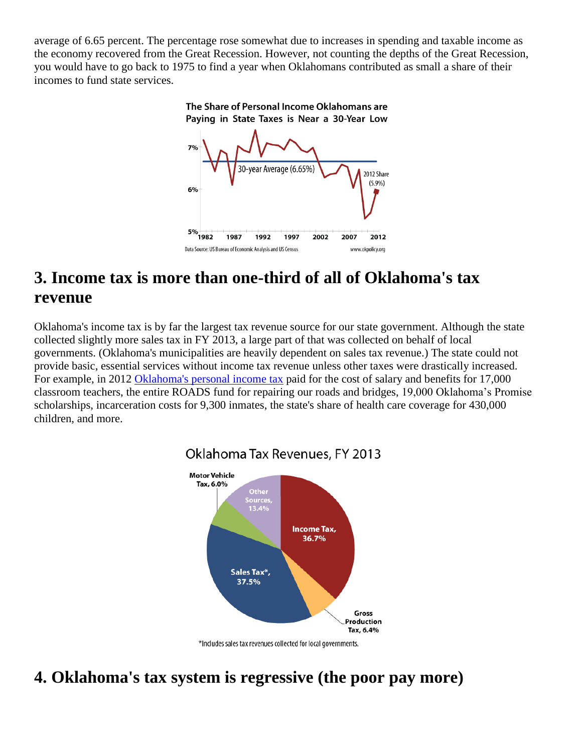average of 6.65 percent. The percentage rose somewhat due to increases in spending and taxable income as the economy recovered from the Great Recession. However, not counting the depths of the Great Recession, you would have to go back to 1975 to find a year when Oklahomans contributed as small a share of their incomes to fund state services.

# The Share of Personal Income Oklahomans are Paying in State Taxes is Near a 30-Year Low



### **3. Income tax is more than one-third of all of Oklahoma's tax revenue**

Oklahoma's income tax is by far the largest tax revenue source for our state government. Although the state collected slightly more sales tax in FY 2013, a large part of that was collected on behalf of local governments. (Oklahoma's municipalities are heavily dependent on sales tax revenue.) The state could not provide basic, essential services without income tax revenue unless other taxes were drastically increased. For example, in 2012 [Oklahoma's personal income tax](http://okpolicy.org/what-the-income-tax-pays-for) paid for the cost of salary and benefits for 17,000 classroom teachers, the entire ROADS fund for repairing our roads and bridges, 19,000 Oklahoma's Promise scholarships, incarceration costs for 9,300 inmates, the state's share of health care coverage for 430,000 children, and more.



### Oklahoma Tax Revenues, FY 2013

# **4. Oklahoma's tax system is regressive (the poor pay more)**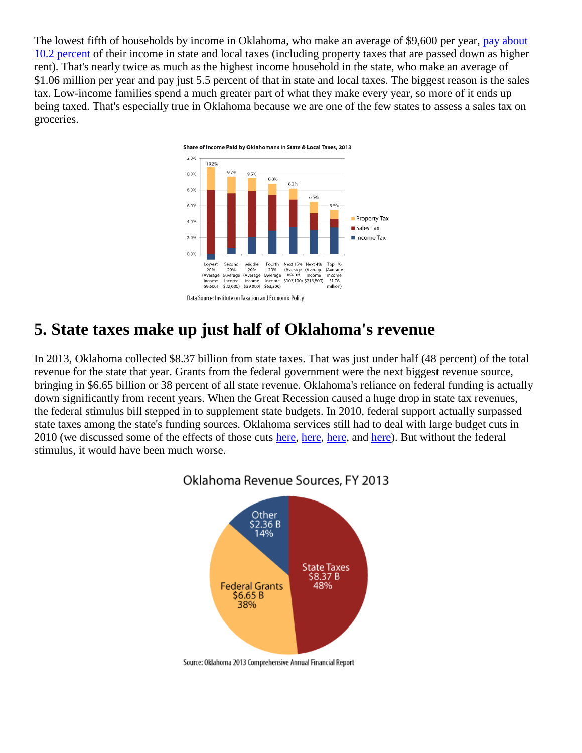The lowest fifth of households by income in Oklahoma, who make an average of \$9,600 per year, [pay about](http://www.itep.org/pdf/ok.pdf)  [10.2 percent](http://www.itep.org/pdf/ok.pdf) of their income in state and local taxes (including property taxes that are passed down as higher rent). That's nearly twice as much as the highest income household in the state, who make an average of \$1.06 million per year and pay just 5.5 percent of that in state and local taxes. The biggest reason is the sales tax. Low-income families spend a much greater part of what they make every year, so more of it ends up being taxed. That's especially true in Oklahoma because we are one of the few states to assess a sales tax on groceries.



### **5. State taxes make up just half of Oklahoma's revenue**

In 2013, Oklahoma collected \$8.37 billion from state taxes. That was just under half (48 percent) of the total revenue for the state that year. Grants from the federal government were the next biggest revenue source, bringing in \$6.65 billion or 38 percent of all state revenue. Oklahoma's reliance on federal funding is actually down significantly from recent years. When the Great Recession caused a huge drop in state tax revenues, the federal stimulus bill stepped in to supplement state budgets. In 2010, federal support actually surpassed state taxes among the state's funding sources. Oklahoma services still had to deal with large budget cuts in 2010 (we discussed some of the effects of those cuts [here,](http://okpolicy.org/whats-at-stake-the-toll-of-budget-cuts) [here,](http://okpolicy.org/the-toll-of-budget-cuts-programs-promoting-high-quality-teaching-and-schools-under-the-axe) [here,](http://okpolicy.org/hurting-all-over-a-survey-of-some-recent-state-and-local-budget-cuts) and [here\)](http://okpolicy.org/budget-cuts-the-pain-spreads-broader-and-deeper). But without the federal stimulus, it would have been much worse.



Oklahoma Revenue Sources, FY 2013

Source: Oklahoma 2013 Comprehensive Annual Financial Report